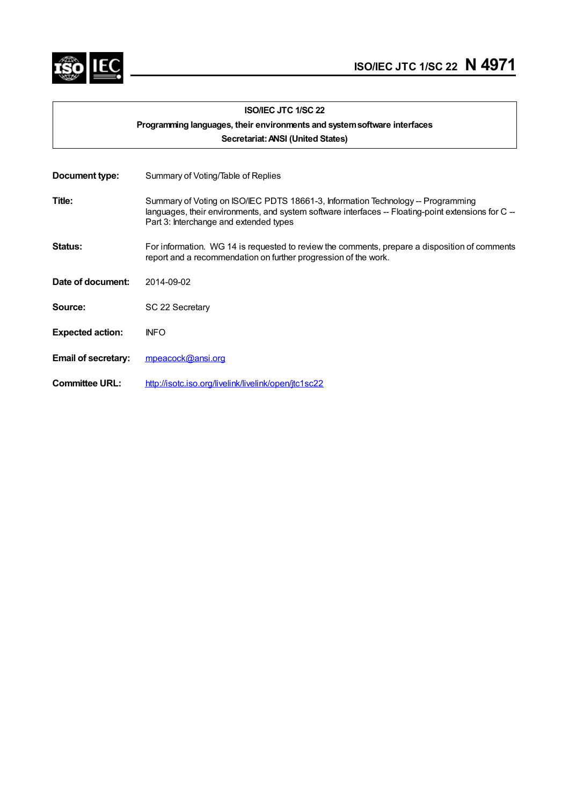

|                            | <b>ISO/IEC JTC 1/SC 22</b>                                                                                                                                                                                                        |  |  |
|----------------------------|-----------------------------------------------------------------------------------------------------------------------------------------------------------------------------------------------------------------------------------|--|--|
|                            | Programming languages, their environments and system software interfaces                                                                                                                                                          |  |  |
|                            | Secretariat: ANSI (United States)                                                                                                                                                                                                 |  |  |
|                            |                                                                                                                                                                                                                                   |  |  |
| Document type:             | Summary of Voting/Table of Replies                                                                                                                                                                                                |  |  |
| Title:                     | Summary of Voting on ISO/IEC PDTS 18661-3, Information Technology -- Programming<br>languages, their environments, and system software interfaces -- Floating-point extensions for C --<br>Part 3: Interchange and extended types |  |  |
| Status:                    | For information. WG 14 is requested to review the comments, prepare a disposition of comments<br>report and a recommendation on further progression of the work.                                                                  |  |  |
| Date of document:          | 2014-09-02                                                                                                                                                                                                                        |  |  |
| Source:                    | SC 22 Secretary                                                                                                                                                                                                                   |  |  |
| <b>Expected action:</b>    | <b>INFO</b>                                                                                                                                                                                                                       |  |  |
| <b>Email of secretary:</b> | mpeacock@ansi.org                                                                                                                                                                                                                 |  |  |
| <b>Committee URL:</b>      | http://isotc.iso.org/livelink/livelink/open/jtc1sc22                                                                                                                                                                              |  |  |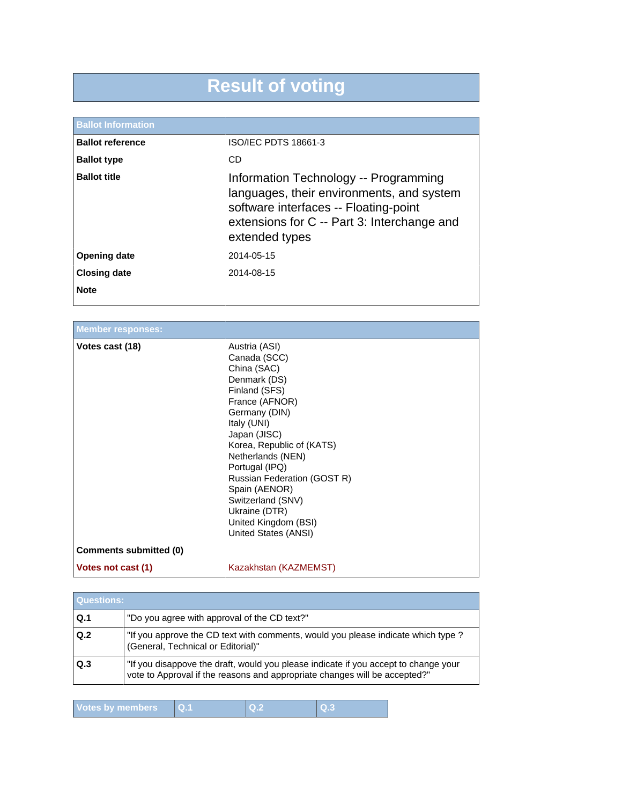# **Result of voting**

| <b>Ballot Information</b> |                                                                                                                                                                                              |
|---------------------------|----------------------------------------------------------------------------------------------------------------------------------------------------------------------------------------------|
| <b>Ballot reference</b>   | ISO/IEC PDTS 18661-3                                                                                                                                                                         |
| <b>Ballot type</b>        | CD                                                                                                                                                                                           |
| <b>Ballot title</b>       | Information Technology -- Programming<br>languages, their environments, and system<br>software interfaces -- Floating-point<br>extensions for C -- Part 3: Interchange and<br>extended types |
| <b>Opening date</b>       | 2014-05-15                                                                                                                                                                                   |
| <b>Closing date</b>       | 2014-08-15                                                                                                                                                                                   |
| <b>Note</b>               |                                                                                                                                                                                              |

### **Member responses:**

| Votes cast (18)        | Austria (ASI)<br>Canada (SCC)<br>China (SAC)<br>Denmark (DS)<br>Finland (SFS)<br>France (AFNOR)<br>Germany (DIN)<br>Italy (UNI)<br>Japan (JISC)<br>Korea, Republic of (KATS)<br>Netherlands (NEN)<br>Portugal (IPQ)<br>Russian Federation (GOST R)<br>Spain (AENOR)<br>Switzerland (SNV)<br>Ukraine (DTR)<br>United Kingdom (BSI)<br>United States (ANSI) |
|------------------------|-----------------------------------------------------------------------------------------------------------------------------------------------------------------------------------------------------------------------------------------------------------------------------------------------------------------------------------------------------------|
| Comments submitted (0) |                                                                                                                                                                                                                                                                                                                                                           |
| Votes not cast (1)     | Kazakhstan (KAZMEMST)                                                                                                                                                                                                                                                                                                                                     |

| Questions:     |                                                                                                                                                                   |
|----------------|-------------------------------------------------------------------------------------------------------------------------------------------------------------------|
| Q <sub>1</sub> | "Do you agree with approval of the CD text?"                                                                                                                      |
| Q.2            | "If you approve the CD text with comments, would you please indicate which type?<br>(General, Technical or Editorial)"                                            |
| Q.3            | "If you disappove the draft, would you please indicate if you accept to change your<br>vote to Approval if the reasons and appropriate changes will be accepted?" |

| Votes by members |  |  |  |
|------------------|--|--|--|
|------------------|--|--|--|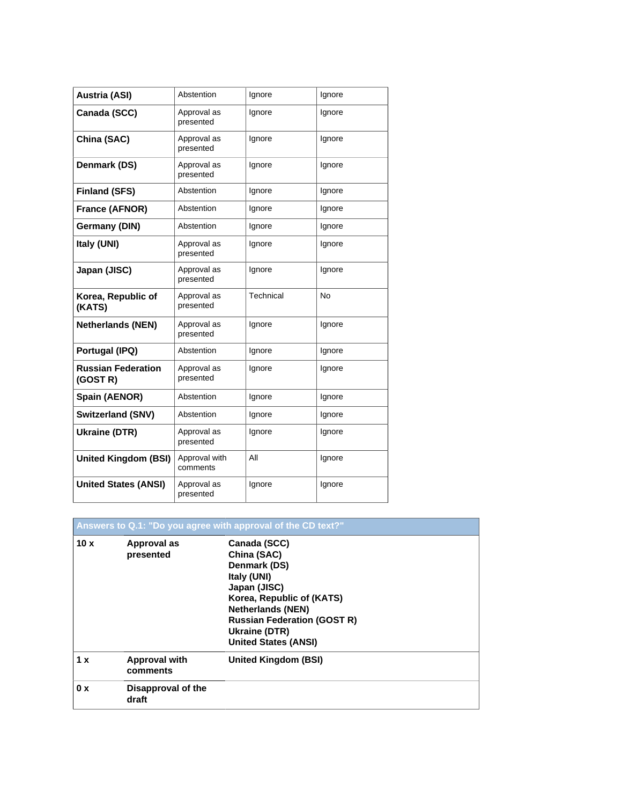| <b>Austria (ASI)</b>                  | Abstention                | Ignore    | Ignore    |
|---------------------------------------|---------------------------|-----------|-----------|
| Canada (SCC)                          | Approval as<br>presented  | Ignore    | lgnore    |
| China (SAC)                           | Approval as<br>presented  | lgnore    | lgnore    |
| Denmark (DS)                          | Approval as<br>presented  | Ignore    | Ignore    |
| <b>Finland (SFS)</b>                  | Abstention                | Ignore    | Ignore    |
| France (AFNOR)                        | Abstention                | Ignore    | Ignore    |
| Germany (DIN)                         | Abstention                | Ignore    | Ignore    |
| Italy (UNI)                           | Approval as<br>presented  | Ignore    | Ignore    |
| Japan (JISC)                          | Approval as<br>presented  | Ignore    | Ignore    |
| Korea, Republic of<br>(KATS)          | Approval as<br>presented  | Technical | <b>No</b> |
| <b>Netherlands (NEN)</b>              | Approval as<br>presented  | Ignore    | Ignore    |
| Portugal (IPQ)                        | Abstention                | Ignore    | Ignore    |
| <b>Russian Federation</b><br>(GOST R) | Approval as<br>presented  | Ignore    | Ignore    |
| Spain (AENOR)                         | Abstention                | Ignore    | Ignore    |
| <b>Switzerland (SNV)</b>              | Abstention                | Ignore    | Ignore    |
| Ukraine (DTR)                         | Approval as<br>presented  | Ignore    | Ignore    |
| <b>United Kingdom (BSI)</b>           | Approval with<br>comments | All       | Ignore    |
| <b>United States (ANSI)</b>           | Approval as<br>presented  | Ignore    | Ignore    |

|     |                                  | Answers to Q.1: "Do you agree with approval of the CD text?"                                                                                                                                                              |
|-----|----------------------------------|---------------------------------------------------------------------------------------------------------------------------------------------------------------------------------------------------------------------------|
| 10x | Approval as<br>presented         | Canada (SCC)<br>China (SAC)<br>Denmark (DS)<br>Italy (UNI)<br>Japan (JISC)<br>Korea, Republic of (KATS)<br><b>Netherlands (NEN)</b><br><b>Russian Federation (GOST R)</b><br>Ukraine (DTR)<br><b>United States (ANSI)</b> |
| 1 x | <b>Approval with</b><br>comments | <b>United Kingdom (BSI)</b>                                                                                                                                                                                               |
| 0 x | Disapproval of the<br>draft      |                                                                                                                                                                                                                           |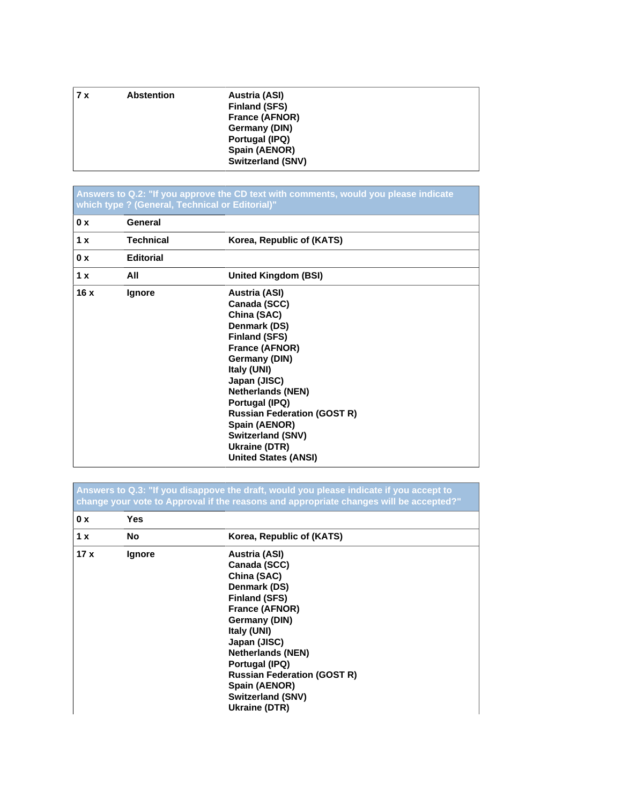| 17x | <b>Abstention</b> | Austria (ASI)<br><b>Finland (SFS)</b> |
|-----|-------------------|---------------------------------------|
|     |                   | France (AFNOR)                        |
|     |                   | Germany (DIN)                         |
|     |                   | Portugal (IPQ)                        |
|     |                   | Spain (AENOR)                         |
|     |                   | <b>Switzerland (SNV)</b>              |

#### **Answers to Q.2: "If you approve the CD text with comments, would you please indicate which type ? (General, Technical or Editorial)"**

| 0 x | General          |                                                                                                                                                                                                                                                                                                                                                |
|-----|------------------|------------------------------------------------------------------------------------------------------------------------------------------------------------------------------------------------------------------------------------------------------------------------------------------------------------------------------------------------|
| 1 x | <b>Technical</b> | Korea, Republic of (KATS)                                                                                                                                                                                                                                                                                                                      |
| 0 x | <b>Editorial</b> |                                                                                                                                                                                                                                                                                                                                                |
| 1 x | All              | <b>United Kingdom (BSI)</b>                                                                                                                                                                                                                                                                                                                    |
| 16x | Ignore           | <b>Austria (ASI)</b><br>Canada (SCC)<br>China (SAC)<br>Denmark (DS)<br><b>Finland (SFS)</b><br>France (AFNOR)<br>Germany (DIN)<br>Italy (UNI)<br>Japan (JISC)<br><b>Netherlands (NEN)</b><br>Portugal (IPQ)<br><b>Russian Federation (GOST R)</b><br>Spain (AENOR)<br><b>Switzerland (SNV)</b><br>Ukraine (DTR)<br><b>United States (ANSI)</b> |

**Answers to Q.3: "If you disappove the draft, would you please indicate if you accept to change your vote to Approval if the reasons and appropriate changes will be accepted?"**

| 0 x | <b>Yes</b> |                                    |  |
|-----|------------|------------------------------------|--|
| 1x  | <b>No</b>  | Korea, Republic of (KATS)          |  |
| 17x | Ignore     | <b>Austria (ASI)</b>               |  |
|     |            | Canada (SCC)                       |  |
|     |            | China (SAC)                        |  |
|     |            | Denmark (DS)                       |  |
|     |            | <b>Finland (SFS)</b>               |  |
|     |            | France (AFNOR)                     |  |
|     |            | Germany (DIN)                      |  |
|     |            | Italy (UNI)                        |  |
|     |            | Japan (JISC)                       |  |
|     |            | <b>Netherlands (NEN)</b>           |  |
|     |            | Portugal (IPQ)                     |  |
|     |            | <b>Russian Federation (GOST R)</b> |  |
|     |            | Spain (AENOR)                      |  |
|     |            | Switzerland (SNV)                  |  |
|     |            | Ukraine (DTR)                      |  |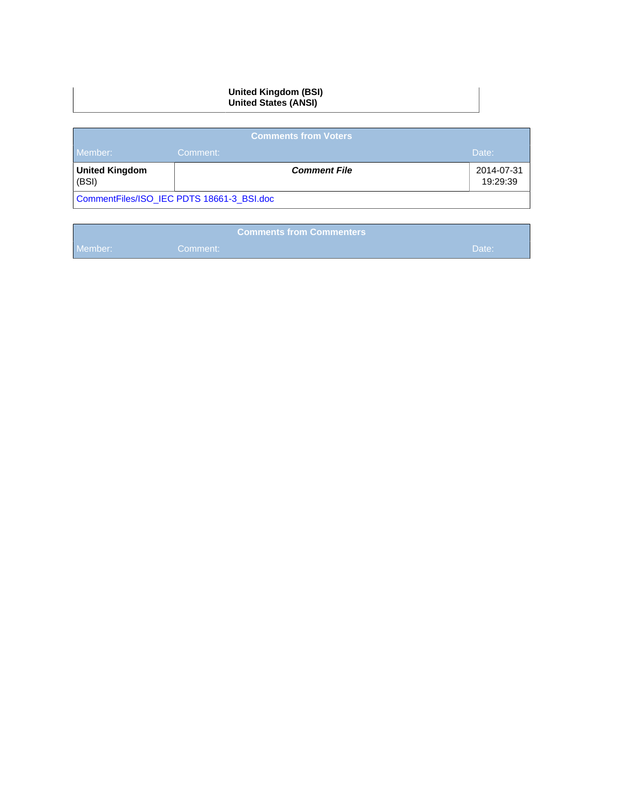#### **United Kingdom (BSI) United States (ANSI)**

| <b>Comments from Voters</b> |                                           |                        |  |
|-----------------------------|-------------------------------------------|------------------------|--|
| Member:                     | Comment:                                  | Date:                  |  |
| United Kingdom<br>(BSI)     | <b>Comment File</b>                       | 2014-07-31<br>19:29:39 |  |
|                             | CommentFiles/ISO IEC PDTS 18661-3 BSI.doc |                        |  |

|         | <b>Comments from Commenters b</b> |       |
|---------|-----------------------------------|-------|
| Member: | Comment:                          | Date: |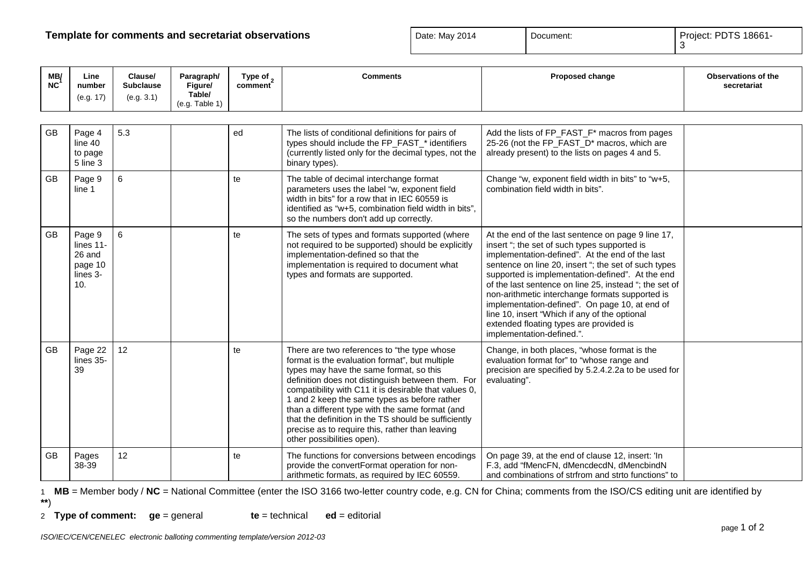## **Template for comments and secretariat observations Date: May 2014** Document: **Project: PDTS 18661-**<br> **Project: PDTS 18661-**

| ate: May 2014 | $\vert$ Doc |
|---------------|-------------|
|               |             |

370**PDTS 18661**-1\_1990

| MB/<br><b>NC</b> | Line<br>number<br>(e.g. 17)                                 | Clause/<br><b>Subclause</b><br>(e.g. 3.1) | Paragraph/<br>Figure/<br>Table/<br>(e.g. Table 1) | Type of $\sim$<br>comment | <b>Comments</b>                                                                                                                                                                                                                                                                                                                                                                                                                                                                                    | Proposed change                                                                                                                                                                                                                                                                                                                                                                                                                                                                                                                                           | Observations of the<br>secretariat |
|------------------|-------------------------------------------------------------|-------------------------------------------|---------------------------------------------------|---------------------------|----------------------------------------------------------------------------------------------------------------------------------------------------------------------------------------------------------------------------------------------------------------------------------------------------------------------------------------------------------------------------------------------------------------------------------------------------------------------------------------------------|-----------------------------------------------------------------------------------------------------------------------------------------------------------------------------------------------------------------------------------------------------------------------------------------------------------------------------------------------------------------------------------------------------------------------------------------------------------------------------------------------------------------------------------------------------------|------------------------------------|
|                  |                                                             |                                           |                                                   |                           |                                                                                                                                                                                                                                                                                                                                                                                                                                                                                                    |                                                                                                                                                                                                                                                                                                                                                                                                                                                                                                                                                           |                                    |
| <b>GB</b>        | Page 4<br>line 40<br>to page<br>5 line 3                    | 5.3                                       |                                                   | ed                        | The lists of conditional definitions for pairs of<br>types should include the FP_FAST_* identifiers<br>(currently listed only for the decimal types, not the<br>binary types).                                                                                                                                                                                                                                                                                                                     | Add the lists of FP_FAST_F* macros from pages<br>25-26 (not the FP_FAST_D* macros, which are<br>already present) to the lists on pages 4 and 5.                                                                                                                                                                                                                                                                                                                                                                                                           |                                    |
| <b>GB</b>        | Page 9<br>line 1                                            | 6                                         |                                                   | te                        | The table of decimal interchange format<br>parameters uses the label "w, exponent field<br>width in bits" for a row that in IEC 60559 is<br>identified as "w+5, combination field width in bits",<br>so the numbers don't add up correctly.                                                                                                                                                                                                                                                        | Change "w, exponent field width in bits" to "w+5,<br>combination field width in bits".                                                                                                                                                                                                                                                                                                                                                                                                                                                                    |                                    |
| GB               | Page 9<br>lines 11-<br>26 and<br>page 10<br>lines 3-<br>10. | 6                                         |                                                   | te                        | The sets of types and formats supported (where<br>not required to be supported) should be explicitly<br>implementation-defined so that the<br>implementation is required to document what<br>types and formats are supported.                                                                                                                                                                                                                                                                      | At the end of the last sentence on page 9 line 17,<br>insert "; the set of such types supported is<br>implementation-defined". At the end of the last<br>sentence on line 20, insert "; the set of such types<br>supported is implementation-defined". At the end<br>of the last sentence on line 25, instead "; the set of<br>non-arithmetic interchange formats supported is<br>implementation-defined". On page 10, at end of<br>line 10, insert "Which if any of the optional<br>extended floating types are provided is<br>implementation-defined.". |                                    |
| <b>GB</b>        | Page 22<br>lines 35-<br>39                                  | 12                                        |                                                   | te                        | There are two references to "the type whose<br>format is the evaluation format", but multiple<br>types may have the same format, so this<br>definition does not distinguish between them. For<br>compatibility with C11 it is desirable that values 0,<br>1 and 2 keep the same types as before rather<br>than a different type with the same format (and<br>that the definition in the TS should be sufficiently<br>precise as to require this, rather than leaving<br>other possibilities open). | Change, in both places, "whose format is the<br>evaluation format for" to "whose range and<br>precision are specified by 5.2.4.2.2a to be used for<br>evaluating".                                                                                                                                                                                                                                                                                                                                                                                        |                                    |
| GB               | Pages<br>38-39                                              | 12                                        |                                                   | te                        | The functions for conversions between encodings<br>provide the convertFormat operation for non-<br>arithmetic formats, as required by IEC 60559.                                                                                                                                                                                                                                                                                                                                                   | On page 39, at the end of clause 12, insert: 'In<br>F.3, add "fMencFN, dMencdecdN, dMencbindN<br>and combinations of strfrom and strto functions" to                                                                                                                                                                                                                                                                                                                                                                                                      |                                    |

1 **MB** = Member body / **NC** = National Committee (enter the ISO 3166 two-letter country code, e.g. CN for China; comments from the ISO/CS editing unit are identified by **\*\***)

2 **Type of comment: ge** = general **te** = technical **ed** = editorial